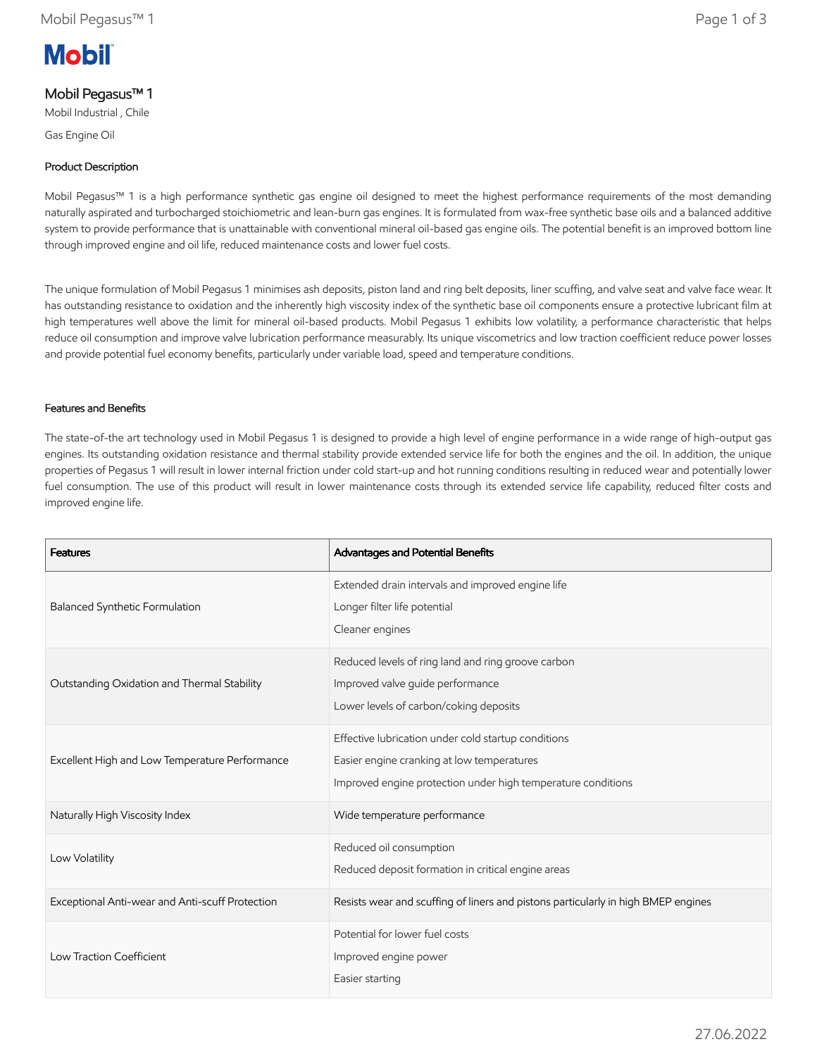

# Mobil Pegasus™ 1

Mobil Industrial , Chile

Gas Engine Oil

## Product Description

Mobil Pegasus™ 1 is a high performance synthetic gas engine oil designed to meet the highest performance requirements of the most demanding naturally aspirated and turbocharged stoichiometric and lean-burn gas engines. It is formulated from wax-free synthetic base oils and a balanced additive system to provide performance that is unattainable with conventional mineral oil-based gas engine oils. The potential benefit is an improved bottom line through improved engine and oil life, reduced maintenance costs and lower fuel costs.

The unique formulation of Mobil Pegasus 1 minimises ash deposits, piston land and ring belt deposits, liner scuffing, and valve seat and valve face wear. It has outstanding resistance to oxidation and the inherently high viscosity index of the synthetic base oil components ensure a protective lubricant film at high temperatures well above the limit for mineral oil-based products. Mobil Pegasus 1 exhibits low volatility, a performance characteristic that helps reduce oil consumption and improve valve lubrication performance measurably. Its unique viscometrics and low traction coefficient reduce power losses and provide potential fuel economy benefits, particularly under variable load, speed and temperature conditions.

### Features and Benefits

The state-of-the art technology used in Mobil Pegasus 1 is designed to provide a high level of engine performance in a wide range of high-output gas engines. Its outstanding oxidation resistance and thermal stability provide extended service life for both the engines and the oil. In addition, the unique properties of Pegasus 1 will result in lower internal friction under cold start-up and hot running conditions resulting in reduced wear and potentially lower fuel consumption. The use of this product will result in lower maintenance costs through its extended service life capability, reduced filter costs and improved engine life.

| <b>Features</b>                                 | Advantages and Potential Benefits                                                                                                                                 |
|-------------------------------------------------|-------------------------------------------------------------------------------------------------------------------------------------------------------------------|
| Balanced Synthetic Formulation                  | Extended drain intervals and improved engine life<br>Longer filter life potential<br>Cleaner engines                                                              |
| Outstanding Oxidation and Thermal Stability     | Reduced levels of ring land and ring groove carbon<br>Improved valve guide performance<br>Lower levels of carbon/coking deposits                                  |
| Excellent High and Low Temperature Performance  | Effective lubrication under cold startup conditions<br>Easier engine cranking at low temperatures<br>Improved engine protection under high temperature conditions |
| Naturally High Viscosity Index                  | Wide temperature performance                                                                                                                                      |
| Low Volatility                                  | Reduced oil consumption<br>Reduced deposit formation in critical engine areas                                                                                     |
| Exceptional Anti-wear and Anti-scuff Protection | Resists wear and scuffing of liners and pistons particularly in high BMEP engines                                                                                 |
| Low Traction Coefficient                        | Potential for lower fuel costs<br>Improved engine power<br>Easier starting                                                                                        |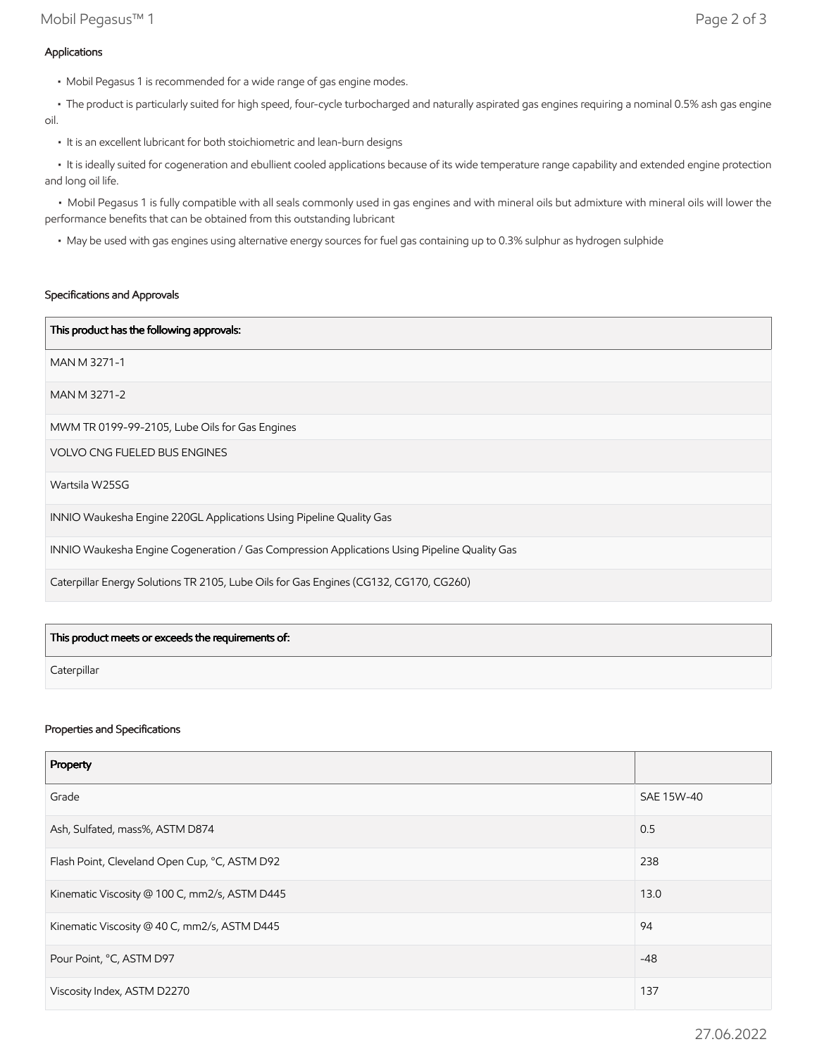• The product is particularly suited for high speed, four-cycle turbocharged and naturally aspirated gas engines requiring a nominal 0.5% ash gas engine oil.

• It is an excellent lubricant for both stoichiometric and lean-burn designs

 • It is ideally suited for cogeneration and ebullient cooled applications because of its wide temperature range capability and extended engine protection and long oil life.

 • Mobil Pegasus 1 is fully compatible with all seals commonly used in gas engines and with mineral oils but admixture with mineral oils will lower the performance benefits that can be obtained from this outstanding lubricant

• May be used with gas engines using alternative energy sources for fuel gas containing up to 0.3% sulphur as hydrogen sulphide

#### Specifications and Approvals

| This product has the following approvals:                                                    |
|----------------------------------------------------------------------------------------------|
| MAN M 3271-1                                                                                 |
| MAN M 3271-2                                                                                 |
| MWM TR 0199-99-2105, Lube Oils for Gas Engines                                               |
| <b>VOLVO CNG FUELED BUS ENGINES</b>                                                          |
| Wartsila W25SG                                                                               |
| INNIO Waukesha Engine 220GL Applications Using Pipeline Quality Gas                          |
| INNIO Waukesha Engine Cogeneration / Gas Compression Applications Using Pipeline Quality Gas |
| Caterpillar Energy Solutions TR 2105, Lube Oils for Gas Engines (CG132, CG170, CG260)        |

| This product meets or exceeds the requirements of: |  |
|----------------------------------------------------|--|
| Caterpillar                                        |  |

#### Properties and Specifications

| Property                                      |            |
|-----------------------------------------------|------------|
| Grade                                         | SAE 15W-40 |
| Ash, Sulfated, mass%, ASTM D874               | 0.5        |
| Flash Point, Cleveland Open Cup, °C, ASTM D92 | 238        |
| Kinematic Viscosity @ 100 C, mm2/s, ASTM D445 | 13.0       |
| Kinematic Viscosity @ 40 C, mm2/s, ASTM D445  | 94         |
| Pour Point, °C, ASTM D97                      | $-48$      |
| Viscosity Index, ASTM D2270                   | 137        |